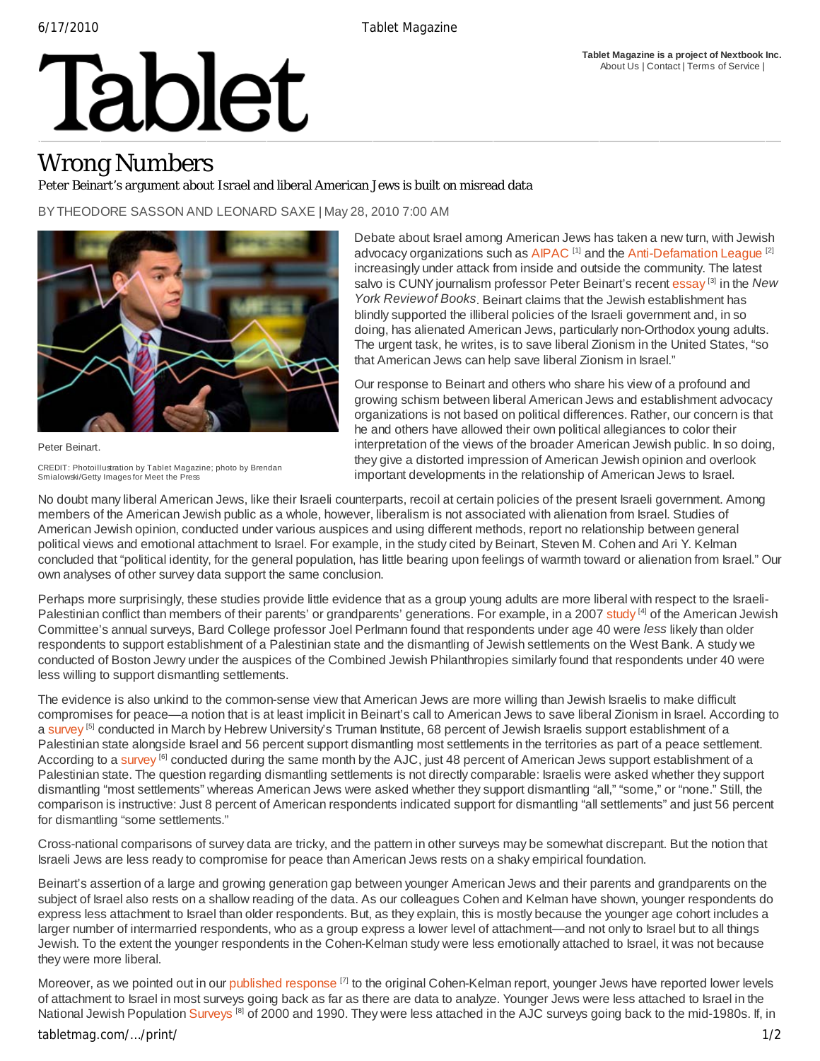#### **Tablet Magazine is a project of Nextbook Inc.** About Us | Contact | Terms of Service |

# Tablet

## Wrong Numbers

### Peter Beinart's argument about Israel and liberal American Jews is built on misread data

BY THEODORE SASSON AND LEONARD SAXE | May 28, 2010 7:00 AM



Peter Beinart. CREDIT: Photoillustration by Tablet Magazine; photo by Brendan Smialowski/Getty Images for Meet the Press

Debate about Israel among American Jews has taken a new turn, with Jewish advocacy organizations such as  $AIPAC$ <sup>[1]</sup> and the Anti-Defamation League<sup>[2]</sup> increasingly under attack from inside and outside the community. The latest salvo is CUNY journalism professor Peter Beinart's recent essay [3] in the *New York Review of Books*. Beinart claims that the Jewish establishment has blindly supported the illiberal policies of the Israeli government and, in so doing, has alienated American Jews, particularly non-Orthodox young adults. The urgent task, he writes, is to save liberal Zionism in the United States, "so that American Jews can help save liberal Zionism in Israel."

Our response to Beinart and others who share his view of a profound and growing schism between liberal American Jews and establishment advocacy organizations is not based on political differences. Rather, our concern is that he and others have allowed their own political allegiances to color their interpretation of the views of the broader American Jewish public. In so doing, they give a distorted impression of American Jewish opinion and overlook important developments in the relationship of American Jews to Israel.

No doubt many liberal American Jews, like their Israeli counterparts, recoil at certain policies of the present Israeli government. Among members of the American Jewish public as a whole, however, liberalism is not associated with alienation from Israel. Studies of American Jewish opinion, conducted under various auspices and using different methods, report no relationship between general political views and emotional attachment to Israel. For example, in the study cited by Beinart, Steven M. Cohen and Ari Y. Kelman concluded that "political identity, for the general population, has little bearing upon feelings of warmth toward or alienation from Israel." Our own analyses of other survey data support the same conclusion.

Perhaps more surprisingly, these studies provide little evidence that as a group young adults are more liberal with respect to the Israeli-Palestinian conflict than members of their parents' or grandparents' generations. For example, in a 2007 study <sup>[4]</sup> of the American Jewish Committee's annual surveys, Bard College professor Joel Perlmann found that respondents under age 40 were *less* likely than older respondents to support establishment of a Palestinian state and the dismantling of Jewish settlements on the West Bank. A study we conducted of Boston Jewry under the auspices of the Combined Jewish Philanthropies similarly found that respondents under 40 were less willing to support dismantling settlements.

The evidence is also unkind to the common-sense view that American Jews are more willing than Jewish Israelis to make difficult compromises for peace—a notion that is at least implicit in Beinart's call to American Jews to save liberal Zionism in Israel. According to a survey <sup>[5]</sup> conducted in March by Hebrew University's Truman Institute, 68 percent of Jewish Israelis support establishment of a Palestinian state alongside Israel and 56 percent support dismantling most settlements in the territories as part of a peace settlement. According to a survey <sup>[6]</sup> conducted during the same month by the AJC, just 48 percent of American Jews support establishment of a Palestinian state. The question regarding dismantling settlements is not directly comparable: Israelis were asked whether they support dismantling "most settlements" whereas American Jews were asked whether they support dismantling "all," "some," or "none." Still, the comparison is instructive: Just 8 percent of American respondents indicated support for dismantling "all settlements" and just 56 percent for dismantling "some settlements."

Cross-national comparisons of survey data are tricky, and the pattern in other surveys may be somewhat discrepant. But the notion that Israeli Jews are less ready to compromise for peace than American Jews rests on a shaky empirical foundation.

Beinart's assertion of a large and growing generation gap between younger American Jews and their parents and grandparents on the subject of Israel also rests on a shallow reading of the data. As our colleagues Cohen and Kelman have shown, younger respondents do express less attachment to Israel than older respondents. But, as they explain, this is mostly because the younger age cohort includes a larger number of intermarried respondents, who as a group express a lower level of attachment—and not only to Israel but to all things Jewish. To the extent the younger respondents in the Cohen-Kelman study were less emotionally attached to Israel, it was not because they were more liberal.

Moreover, as we pointed out in our published response <sup>[7]</sup> to the original Cohen-Kelman report, younger Jews have reported lower levels of attachment to Israel in most surveys going back as far as there are data to analyze. Younger Jews were less attached to Israel in the National Jewish Population Surveys<sup>[8]</sup> of 2000 and 1990. They were less attached in the AJC surveys going back to the mid-1980s. If, in

### tabletmag.com/…/print/ 1/2